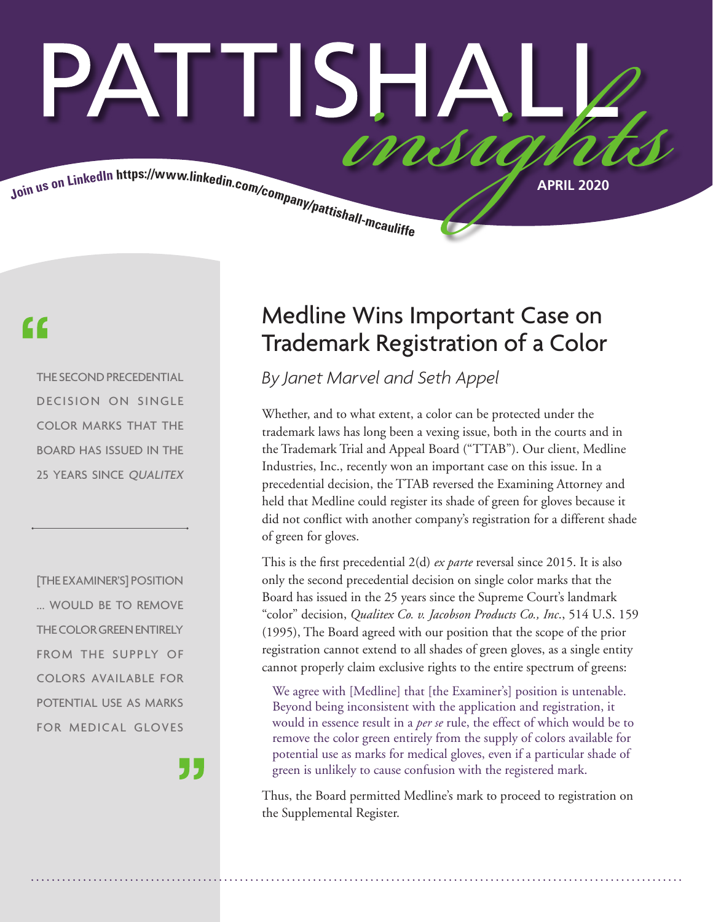# ATTISH/ MM

Join us on LinkedIn https://www.linkedin.com/company/pattishall-measure. APRIL 2020

### "

THE SECOND PRECEDENTIAL DECISION ON SINGLE COLOR MARKS THAT THE BOARD HAS ISSUED IN THE 25 YEARS SINCE QUALITEX

[THE EXAMINER'S] POSITION ... WOULD BE TO REMOVE THE COLOR GREEN ENTIRELY FROM THE SUPPLY OF COLORS AVAILABLE FOR POTENTIAL USE AS MARKS FOR MEDICAL GLOVES

J J

### Medline Wins Important Case on Trademark Registration of a Color

*By Janet Marvel and Seth Appel*

Whether, and to what extent, a color can be protected under the trademark laws has long been a vexing issue, both in the courts and in the Trademark Trial and Appeal Board ("TTAB"). Our client, Medline Industries, Inc., recently won an important case on this issue. In a precedential decision, the TTAB reversed the Examining Attorney and held that Medline could register its shade of green for gloves because it did not conflict with another company's registration for a different shade of green for gloves.

This is the first precedential 2(d) *ex parte* reversal since 2015. It is also only the second precedential decision on single color marks that the Board has issued in the 25 years since the Supreme Court's landmark "color" decision, *Qualitex Co. v. Jacobson Products Co., Inc*., 514 U.S. 159 (1995), The Board agreed with our position that the scope of the prior registration cannot extend to all shades of green gloves, as a single entity cannot properly claim exclusive rights to the entire spectrum of greens:

We agree with [Medline] that [the Examiner's] position is untenable. Beyond being inconsistent with the application and registration, it would in essence result in a *per se* rule, the effect of which would be to remove the color green entirely from the supply of colors available for potential use as marks for medical gloves, even if a particular shade of green is unlikely to cause confusion with the registered mark.

Thus, the Board permitted Medline's mark to proceed to registration on the Supplemental Register.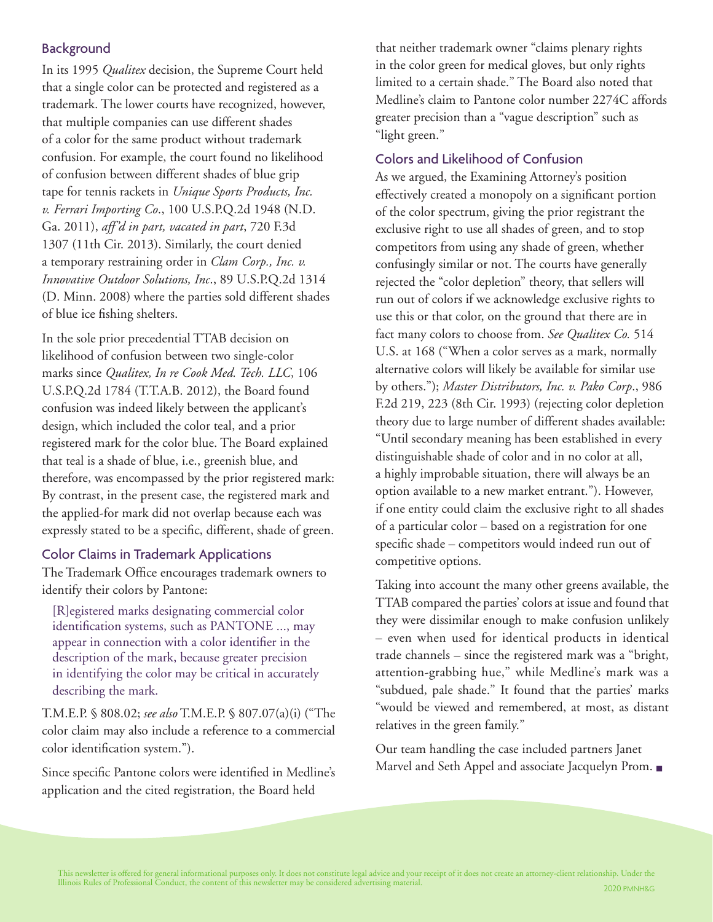#### **Background**

In its 1995 *Qualitex* decision, the Supreme Court held that a single color can be protected and registered as a trademark. The lower courts have recognized, however, that multiple companies can use different shades of a color for the same product without trademark confusion. For example, the court found no likelihood of confusion between different shades of blue grip tape for tennis rackets in *Unique Sports Products, Inc. v. Ferrari Importing Co*., 100 U.S.P.Q.2d 1948 (N.D. Ga. 2011), *aff'd in part, vacated in part*, 720 F.3d 1307 (11th Cir. 2013). Similarly, the court denied a temporary restraining order in *Clam Corp., Inc. v. Innovative Outdoor Solutions, Inc*., 89 U.S.P.Q.2d 1314 (D. Minn. 2008) where the parties sold different shades of blue ice fishing shelters.

In the sole prior precedential TTAB decision on likelihood of confusion between two single-color marks since *Qualitex, In re Cook Med. Tech. LLC*, 106 U.S.P.Q.2d 1784 (T.T.A.B. 2012), the Board found confusion was indeed likely between the applicant's design, which included the color teal, and a prior registered mark for the color blue. The Board explained that teal is a shade of blue, i.e., greenish blue, and therefore, was encompassed by the prior registered mark: By contrast, in the present case, the registered mark and the applied-for mark did not overlap because each was expressly stated to be a specific, different, shade of green.

#### Color Claims in Trademark Applications

The Trademark Office encourages trademark owners to identify their colors by Pantone:

[R]egistered marks designating commercial color identification systems, such as PANTONE ..., may appear in connection with a color identifier in the description of the mark, because greater precision in identifying the color may be critical in accurately describing the mark.

T.M.E.P. § 808.02; *see also* T.M.E.P. § 807.07(a)(i) ("The color claim may also include a reference to a commercial color identification system.").

Since specific Pantone colors were identified in Medline's application and the cited registration, the Board held

that neither trademark owner "claims plenary rights in the color green for medical gloves, but only rights limited to a certain shade." The Board also noted that Medline's claim to Pantone color number 2274C affords greater precision than a "vague description" such as "light green."

#### Colors and Likelihood of Confusion

As we argued, the Examining Attorney's position effectively created a monopoly on a significant portion of the color spectrum, giving the prior registrant the exclusive right to use all shades of green, and to stop competitors from using any shade of green, whether confusingly similar or not. The courts have generally rejected the "color depletion" theory, that sellers will run out of colors if we acknowledge exclusive rights to use this or that color, on the ground that there are in fact many colors to choose from. *See Qualitex Co.* 514 U.S. at 168 ("When a color serves as a mark, normally alternative colors will likely be available for similar use by others."); *Master Distributors, Inc. v. Pako Corp*., 986 F.2d 219, 223 (8th Cir. 1993) (rejecting color depletion theory due to large number of different shades available: "Until secondary meaning has been established in every distinguishable shade of color and in no color at all, a highly improbable situation, there will always be an option available to a new market entrant."). However, if one entity could claim the exclusive right to all shades of a particular color – based on a registration for one specific shade – competitors would indeed run out of competitive options.

Taking into account the many other greens available, the TTAB compared the parties' colors at issue and found that they were dissimilar enough to make confusion unlikely – even when used for identical products in identical trade channels – since the registered mark was a "bright, attention-grabbing hue," while Medline's mark was a "subdued, pale shade." It found that the parties' marks "would be viewed and remembered, at most, as distant relatives in the green family."

Our team handling the case included partners Janet Marvel and Seth Appel and associate Jacquelyn Prom. ■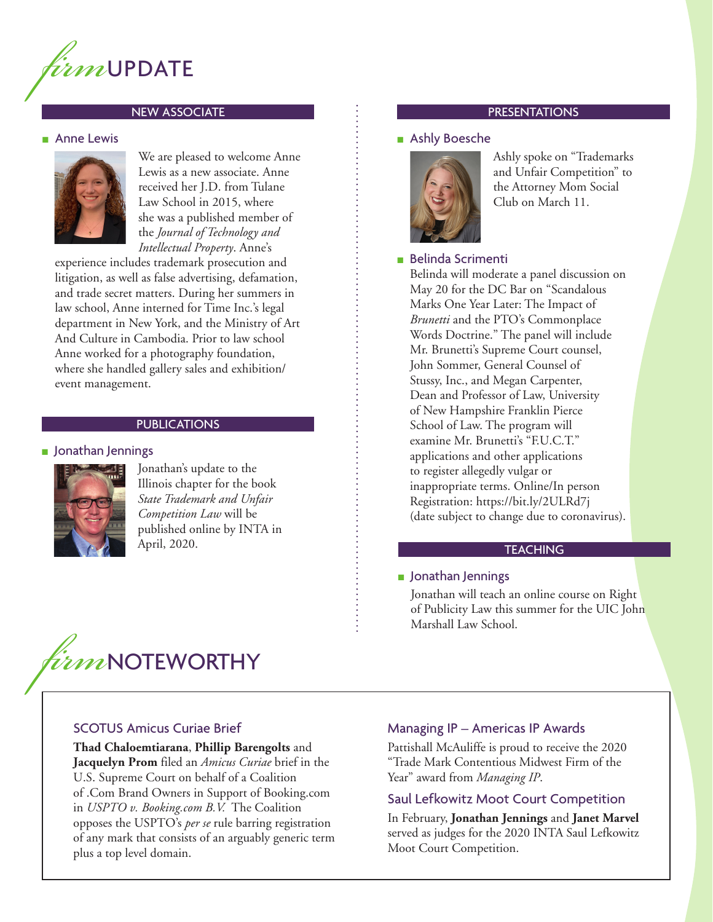

#### NEW ASSOCIATE

#### **Anne Lewis**



We are pleased to welcome Anne Lewis as a new associate. Anne received her J.D. from Tulane Law School in 2015, where she was a published member of the *Journal of Technology and Intellectual Property*. Anne's

experience includes trademark prosecution and litigation, as well as false advertising, defamation, and trade secret matters. During her summers in law school, Anne interned for Time Inc.'s legal department in New York, and the Ministry of Art And Culture in Cambodia. Prior to law school Anne worked for a photography foundation, where she handled gallery sales and exhibition/ event management.

#### **PUBLICATIONS**

#### ■ Jonathan Jennings



Jonathan's update to the Illinois chapter for the book *State Trademark and Unfair Competition Law* will be published online by INTA in April, 2020.

## *firm*NOTEWORTHY

#### SCOTUS Amicus Curiae Brief

**Thad Chaloemtiarana**, **Phillip Barengolts** and **Jacquelyn Prom** filed an *Amicus Curiae* brief in the U.S. Supreme Court on behalf of a Coalition of .Com Brand Owners in Support of Booking.com in *USPTO v. Booking.com B.V.* The Coalition opposes the USPTO's *per se* rule barring registration of any mark that consists of an arguably generic term plus a top level domain.

#### PRESENTATIONS

#### ■ Ashly Boesche



Ashly spoke on "Trademarks and Unfair Competition" to the Attorney Mom Social Club on March 11.

#### ■ Belinda Scrimenti

Belinda will moderate a panel discussion on May 20 for the DC Bar on "Scandalous Marks One Year Later: The Impact of *Brunetti* and the PTO's Commonplace Words Doctrine." The panel will include Mr. Brunetti's Supreme Court counsel, John Sommer, General Counsel of Stussy, Inc., and Megan Carpenter, Dean and Professor of Law, University of New Hampshire Franklin Pierce School of Law. The program will examine Mr. Brunetti's "F.U.C.T." applications and other applications to register allegedly vulgar or inappropriate terms. Online/In person Registration: https://bit.ly/2ULRd7j (date subject to change due to coronavirus).

#### **TEACHING**

#### ■ Jonathan Jennings

Jonathan will teach an online course on Right of Publicity Law this summer for the UIC John Marshall Law School.

#### Managing IP – Americas IP Awards

Pattishall McAuliffe is proud to receive the 2020 "Trade Mark Contentious Midwest Firm of the Year" award from *Managing IP*.

#### Saul Lefkowitz Moot Court Competition

In February, **Jonathan Jennings** and **Janet Marvel** served as judges for the 2020 INTA Saul Lefkowitz Moot Court Competition.